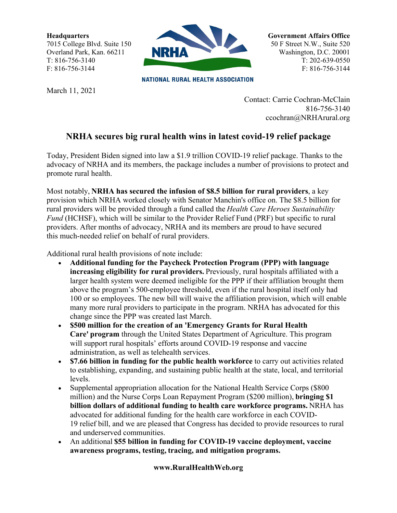**Headquarters** 7015 College Blvd. Suite 150 Overland Park, Kan. 66211 T: 816-756-3140 F: 816-756-3144



**NATIONAL RURAL HEALTH ASSOCIATION** 

March 11, 2021

**Government Affairs Office** 50 F Street N.W., Suite 520 Washington, D.C. 20001 T: 202-639-0550 F: 816-756-3144

Contact: Carrie Cochran-McClain 816-756-3140 ccochran@NRHArural.org

## **NRHA secures big rural health wins in latest covid-19 relief package**

Today, President Biden signed into law a \$1.9 trillion COVID-19 relief package. Thanks to the advocacy of NRHA and its members, the package includes a number of provisions to protect and promote rural health.

Most notably, **NRHA has secured the infusion of \$8.5 billion for rural providers**, a key provision which NRHA worked closely with Senator Manchin's office on. The \$8.5 billion for rural providers will be provided through a fund called the *Health Care Heroes Sustainability Fund* (HCHSF), which will be similar to the Provider Relief Fund (PRF) but specific to rural providers. After months of advocacy, NRHA and its members are proud to have secured this much-needed relief on behalf of rural providers.

Additional rural health provisions of note include: 

- **Additional funding for the Paycheck Protection Program (PPP) with language increasing eligibility for rural providers.** Previously, rural hospitals affiliated with a larger health system were deemed ineligible for the PPP if their affiliation brought them above the program's 500-employee threshold, even if the rural hospital itself only had 100 or so employees. The new bill will waive the affiliation provision, which will enable many more rural providers to participate in the program. NRHA has advocated for this change since the PPP was created last March.
- **\$500 million for the creation of an 'Emergency Grants for Rural Health Care' program** through the United States Department of Agriculture. This program will support rural hospitals' efforts around COVID-19 response and vaccine administration, as well as telehealth services.
- **\$7.66 billion in funding for the public health workforce** to carry out activities related to establishing, expanding, and sustaining public health at the state, local, and territorial levels.
- Supplemental appropriation allocation for the National Health Service Corps (\$800 million) and the Nurse Corps Loan Repayment Program (\$200 million), **bringing \$1 billion dollars of additional funding to health care workforce programs.** NRHA has advocated for additional funding for the health care workforce in each COVID-19 relief bill, and we are pleased that Congress has decided to provide resources to rural and underserved communities.
- An additional **\$55 billion in funding for COVID-19 vaccine deployment, vaccine awareness programs, testing, tracing, and mitigation programs.**

## **www.RuralHealthWeb.org**